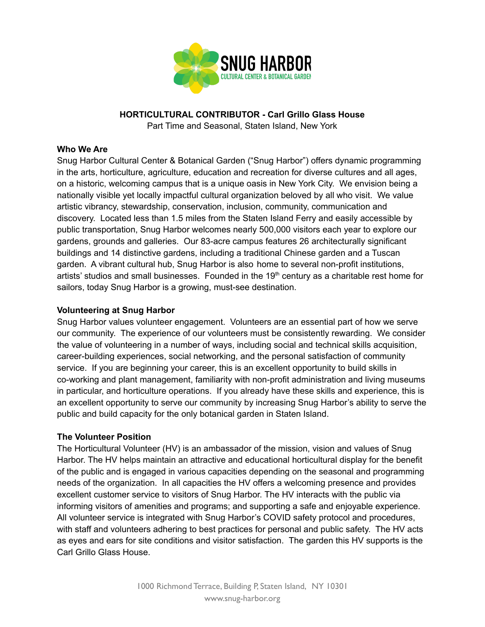

# **HORTICULTURAL CONTRIBUTOR - Carl Grillo Glass House**

Part Time and Seasonal, Staten Island, New York

## **Who We Are**

Snug Harbor Cultural Center & Botanical Garden ("Snug Harbor") offers dynamic programming in the arts, horticulture, agriculture, education and recreation for diverse cultures and all ages, on a historic, welcoming campus that is a unique oasis in New York City. We envision being a nationally visible yet locally impactful cultural organization beloved by all who visit. We value artistic vibrancy, stewardship, conservation, inclusion, community, communication and discovery. Located less than 1.5 miles from the Staten Island Ferry and easily accessible by public transportation, Snug Harbor welcomes nearly 500,000 visitors each year to explore our gardens, grounds and galleries. Our 83-acre campus features 26 architecturally significant buildings and 14 distinctive gardens, including a traditional Chinese garden and a Tuscan garden. A vibrant cultural hub, Snug Harbor is also home to several non-profit institutions, artists' studios and small businesses. Founded in the  $19<sup>th</sup>$  century as a charitable rest home for sailors, today Snug Harbor is a growing, must-see destination.

## **Volunteering at Snug Harbor**

Snug Harbor values volunteer engagement. Volunteers are an essential part of how we serve our community. The experience of our volunteers must be consistently rewarding. We consider the value of volunteering in a number of ways, including social and technical skills acquisition, career-building experiences, social networking, and the personal satisfaction of community service. If you are beginning your career, this is an excellent opportunity to build skills in co-working and plant management, familiarity with non-profit administration and living museums in particular, and horticulture operations. If you already have these skills and experience, this is an excellent opportunity to serve our community by increasing Snug Harbor's ability to serve the public and build capacity for the only botanical garden in Staten Island.

#### **The Volunteer Position**

The Horticultural Volunteer (HV) is an ambassador of the mission, vision and values of Snug Harbor. The HV helps maintain an attractive and educational horticultural display for the benefit of the public and is engaged in various capacities depending on the seasonal and programming needs of the organization. In all capacities the HV offers a welcoming presence and provides excellent customer service to visitors of Snug Harbor. The HV interacts with the public via informing visitors of amenities and programs; and supporting a safe and enjoyable experience. All volunteer service is integrated with Snug Harbor's COVID safety protocol and procedures, with staff and volunteers adhering to best practices for personal and public safety. The HV acts as eyes and ears for site conditions and visitor satisfaction. The garden this HV supports is the Carl Grillo Glass House.